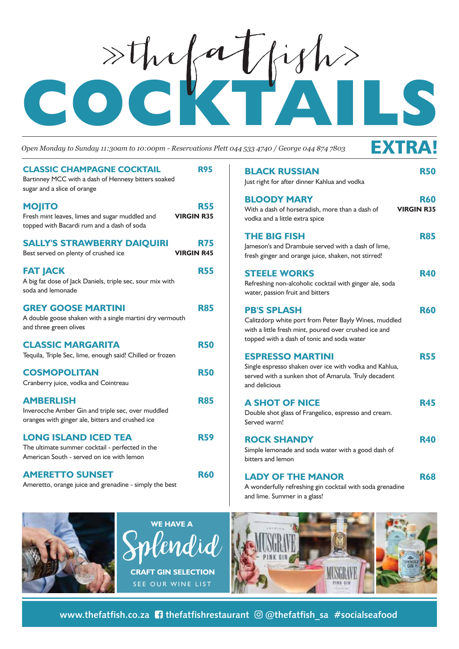## EOCK<sup>a</sup>Ijks

*Open Monday to Sunday 11:30am to 10:00pm - Reservations Plett 044 533 4740 / George 044 874 7803*

## EXTRA!

| <b>CLASSIC CHAMPAGNE COCKTAIL</b><br>Bartinney MCC with a dash of Hennesy bitters soaked<br>sugar and a slice of orange     | <b>R95</b>                      |
|-----------------------------------------------------------------------------------------------------------------------------|---------------------------------|
| <b>MOJITO</b><br>Fresh mint leaves, limes and sugar muddled and<br>topped with Bacardi rum and a dash of soda               | <b>R55</b><br><b>VIRGIN R35</b> |
| <b>SALLY'S STRAWBERRY DAIQUIRI</b><br>Best served on plenty of crushed ice                                                  | <b>R75</b><br><b>VIRGIN R45</b> |
| <b>FAT JACK</b><br>A big fat dose of Jack Daniels, triple sec, sour mix with<br>soda and lemonade                           | <b>R55</b>                      |
| <b>GREY GOOSE MARTINI</b><br>A double goose shaken with a single martini dry vermouth<br>and three green olives             | <b>R85</b>                      |
| <b>CLASSIC MARGARITA</b><br>Tequila, Triple Sec, lime, enough said! Chilled or frozen                                       | <b>R50</b>                      |
| <b>COSMOPOLITAN</b><br>Cranberry juice, vodka and Cointreau                                                                 | <b>R50</b>                      |
| <b>AMBERLISH</b><br>Inverocche Amber Gin and triple sec, over muddled<br>oranges with ginger ale, bitters and crushed ice   | <b>R85</b>                      |
| <b>LONG ISLAND ICED TEA</b><br>The ultimate summer cocktail - perfected in the<br>American South - served on ice with lemon | <b>R59</b>                      |
| <b>AMERETTO SUNSET</b><br>Ameretto, orange juice and grenadine - simply the best                                            | <b>R60</b>                      |

| <b>BLACK RUSSIAN</b><br>Just right for after dinner Kahlua and vodka                                                                                                               | <b>R50</b> |
|------------------------------------------------------------------------------------------------------------------------------------------------------------------------------------|------------|
| <b>BLOODY MARY</b><br>With a dash of horseradish, more than a dash of<br><b>VIRGIN R35</b><br>vodka and a little extra spice                                                       | <b>R60</b> |
| <b>THE BIG FISH</b><br>Jameson's and Drambuie served with a dash of lime,<br>fresh ginger and orange juice, shaken, not stirred!                                                   | <b>R85</b> |
| <b>STEELE WORKS</b><br>Refreshing non-alcoholic cocktail with ginger ale, soda<br>water, passion fruit and bitters                                                                 | <b>R40</b> |
| <b>PB'S SPLASH</b><br>Calitzdorp white port from Peter Bayly Wines, muddled<br>with a little fresh mint, poured over crushed ice and<br>topped with a dash of tonic and soda water | <b>R60</b> |
| <b>ESPRESSO MARTINI</b><br>Single espresso shaken over ice with vodka and Kahlua,<br>served with a sunken shot of Amarula. Truly decadent<br>and delicious                         | <b>R55</b> |
| <b>A SHOT OF NICE</b><br>Double shot glass of Frangelico, espresso and cream.<br>Served warm!                                                                                      | <b>R45</b> |
| <b>ROCK SHANDY</b><br>Simple lemonade and soda water with a good dash of<br>bitters and lemon                                                                                      | <b>R40</b> |
| <b>LADY OF THE MANOR</b><br>A wonderfully refreshing gin cocktail with soda grenadine                                                                                              | <b>R68</b> |







and lime. Summer in a glass!

**www.thefatfish.co.za <b>1** thefatfishrestaurant  $\textcircled{a}$  thefatfish sa #socialseafood